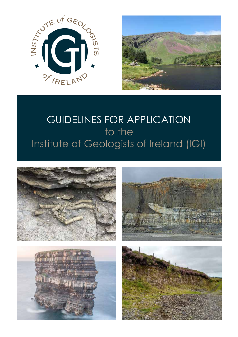



# GUIDELINES FOR APPLICATION to the Institute of Geologists of Ireland (IGI)







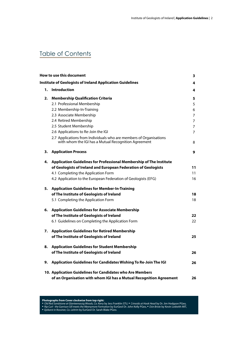# Table of Contents

|    | How to use this document                                                                                                   | 3              |
|----|----------------------------------------------------------------------------------------------------------------------------|----------------|
|    | <b>Institute of Geologists of Ireland Application Guidelines</b>                                                           | 4              |
| 1. | <b>Introduction</b>                                                                                                        | 4              |
| 2. | <b>Membership Qualification Criteria</b>                                                                                   | 5              |
|    | 2.1 Professional Membership                                                                                                | 5              |
|    | 2.2 Membership-In-Training                                                                                                 | 6              |
|    | 2.3 Associate Membership                                                                                                   | $\overline{7}$ |
|    | 2.4 Retired Membership                                                                                                     | 7              |
|    | 2.5 Student Membership                                                                                                     | 7              |
|    | 2.6 Applications to Re-Join the IGI                                                                                        | 7              |
|    | 2.7 Applications from Individuals who are members of Organisations<br>with whom the IGI has a Mutual Recognition Agreement | 8              |
| 3. | <b>Application Process</b>                                                                                                 | 9              |
| 4. | Application Guidelines for Professional Membership of The Institute                                                        |                |
|    | of Geologists of Ireland and European Federation of Geologists                                                             | 11             |
|    | 4.1 Completing the Application Form                                                                                        | 11             |
|    | 4.2 Application to the European Federation of Geologists (EFG)                                                             | 16             |
| 5. | <b>Application Guidelines for Member-In-Training</b>                                                                       |                |
|    | of The Institute of Geologists of Ireland                                                                                  | 18             |
|    | 5.1 Completing the Application Form                                                                                        | 18             |
| 6. | <b>Application Guidelines for Associate Membership</b>                                                                     |                |
|    | of The Institute of Geologists of Ireland                                                                                  | 22             |
|    | 6.1 Guidelines on Completing the Application Form                                                                          | 22             |
| 7. | <b>Application Guidelines for Retired Membership</b>                                                                       |                |
|    | of The Institute of Geologists of Ireland                                                                                  | 25             |
| 8. | <b>Application Guidelines for Student Membership</b>                                                                       |                |
|    | of The Institute of Geologists of Ireland                                                                                  | 26             |
| 9. | Application Guidelines for Candidates Wishing To Re-Join The IGI                                                           | 26             |
|    | 10. Application Guidelines for Candidates who Are Members                                                                  |                |
|    | of an Organisation with whom IGI has a Mutual Recognition Agreement                                                        | 26             |

**Photographs from Cover clockwise from top right:**  • *Old Red Sandstone at Glanteenassig Woods, Co. Kerry* by Jess Franklin STU, • *Crinoids at Hook Head* by Dr. Jim Hodgson PGeo,

• *Rip Curl - the Garrison Sill meets the Meenymore Formation* by EurGeol Dr. John Kelly PGeo, • *Dύn Briste* by Kevin Ledwith MIT, • *Epikarst in Rossiner, Co. Leitrim* by EurGeol Dr. Sarah Blake PGeo.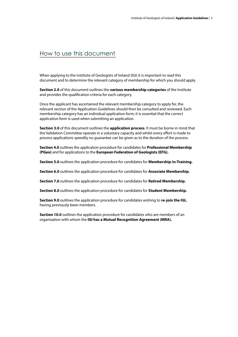# How to use this document

When applying to the Institute of Geologists of Ireland (IGI) it is important to read this document and to determine the relevant category of membership for which you should apply.

**Section 2.0** of this document outlines the **various membership categories** of the Institute and provides the qualification criteria for each category.

Once the applicant has ascertained the relevant membership category to apply for, the relevant section of the Application Guidelines should then be consulted and reviewed. Each membership category has an individual application form; it is essential that the correct application form is used when submitting an application.

**Section 3.0** of this document outlines the **application process**. It must be borne in mind that the Validation Committee operate in a voluntary capacity and whilst every effort is made to process applications speedily no guarantee can be given as to the duration of the process.

**Section 4.0** outlines the application procedure for candidates for **Professional Membership (PGeo)** and for applications to the **European Federation of Geologists (EFG).**

**Section 5.0** outlines the application procedure for candidates for **Membership-in-Training.**

**Section 6.0** outlines the application procedure for candidates for **Associate Membership.**

**Section 7.0** outlines the application procedure for candidates for **Retired Membership.**

**Section 8.0** outlines the application procedure for candidates for **Student Membership.**

**Section 9.0** outlines the application procedure for candidates wishing to **re-join the IGI,**  having previously been members.

**Section 10.0** outlines the application procedure for candidates who are members of an organisation with whom the **IGI has a Mutual Recognition Agreement (MRA).**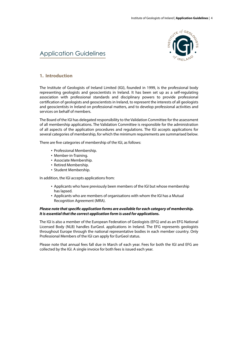

# Application Guidelines

### **1. Introduction**

The Institute of Geologists of Ireland Limited (IGI), founded in 1999, is the professional body representing geologists and geoscientists in Ireland. It has been set up as a self-regulating association with professional standards and disciplinary powers to provide professional certification of geologists and geoscientists in Ireland, to represent the interests of all geologists and geoscientists in Ireland on professional matters, and to develop professional activities and services on behalf of members.

The Board of the IGI has delegated responsibility to the Validation Committee for the assessment of all membership applications. The Validation Committee is responsible for the administration of all aspects of the application procedures and regulations. The IGI accepts applications for several categories of membership, for which the minimum requirements are summarised below.

There are five categories of membership of the IGI, as follows:

- Professional Membership.
- Member-in-Training.
- Associate Membership.
- Retired Membership.
- Student Membership.

In addition, the IGI accepts applications from:

- Applicants who have previously been members of the IGI but whose membership has lapsed.
- Applicants who are members of organisations with whom the IGI has a Mutual Recognition Agreement (MRA).

#### *Please note that specific application forms are available for each category of membership. It is essential that the correct application form is used for applications.*

The IGI is also a member of the European Federation of Geologists (EFG) and as an EFG National Licensed Body (NLB) handles EurGeol. applications in Ireland. The EFG represents geologists throughout Europe through the national representative bodies in each member country. Only Professional Members of the IGI can apply for EurGeol status.

Please note that annual fees fall due in March of each year. Fees for both the IGI and EFG are collected by the IGI. A single invoice for both fees is issued each year.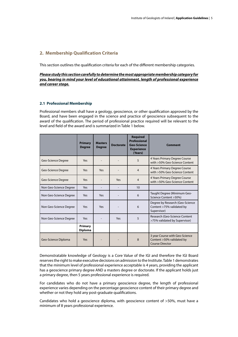# **2. Membership Qualification Criteria**

This section outlines the qualification criteria for each of the different membership categories.

*Please study this section carefully to determine the most appropriate membership category for you, bearing in mind your level of educational attainment, length of professional experience and career stage.*

#### **2.1 Professional Membership**

Professional members shall have a geology, geoscience, or other qualification approved by the Board, and have been engaged in the science and practice of geoscience subsequent to the award of the qualification. The period of professional practice required will be relevant to the level and field of the award and is summarized in Table 1 below.

|                           | <b>Primary</b><br><b>Degree</b> | <b>Masters</b><br><b>Degree</b> | <b>Doctorate</b> | <b>Required</b><br>Professional<br><b>Geo-Science</b><br><b>Experience</b><br>(Years) | <b>Comment</b>                                                                        |
|---------------------------|---------------------------------|---------------------------------|------------------|---------------------------------------------------------------------------------------|---------------------------------------------------------------------------------------|
| Geo-Science Degree        | Yes                             |                                 |                  | 5                                                                                     | 4 Years Primary Degree Course<br>with >50% Geo-Science Content                        |
| Geo-Science Degree        | Yes                             | Yes                             |                  | 4                                                                                     | 4 Years Primary Degree Course<br>with >50% Geo-Science Content                        |
| <b>Geo-Science Degree</b> | Yes                             |                                 | Yes              | 4                                                                                     | 4 Years Primary Degree Course<br>with >50% Geo-Science Content                        |
| Non Geo-Science Degree    | Yes                             |                                 |                  | 10                                                                                    |                                                                                       |
| Non Geo-Science Degree    | Yes                             | Yes                             |                  | 6                                                                                     | Taught Degree (Minimum Geo-<br>Science Content >50%)                                  |
| Non Geo-Science Degree    | Yes                             | Yes                             |                  | 6                                                                                     | Degree by Research (Geo-Science<br>Content >75% validated by<br>Supervisor)           |
| Non Geo-Science Degree    | Yes                             |                                 | Yes              | 5                                                                                     | Research (Geo-Science Content<br>>75% validated by Supervisor)                        |
|                           | Primary<br><b>Diploma</b>       |                                 |                  |                                                                                       |                                                                                       |
| Geo-Science Diploma       | Yes                             |                                 |                  | 8                                                                                     | 3 year Course with Geo-Science<br>Content >50% validated by<br><b>Course Director</b> |

Demonstratable knowledge of Geology is a Core Value of the IGI and therefore the IGI Board reserves the right to make executive decisions on admission to the Institute. Table 1 demonstrates that the minimum level of professional experience acceptable is 4 years, providing the applicant has a geoscience primary degree AND a masters degree or doctorate. If the applicant holds just a primary degree, then 5 years professional experience is required.

For candidates who do not have a primary geoscience degree, the length of professional experience varies depending on the percentage geoscience content of their primary degree and whether or not they hold any post-graduate qualifications.

Candidates who hold a geoscience diploma, with geoscience content of >50%, must have a minimum of 8 years professional experience.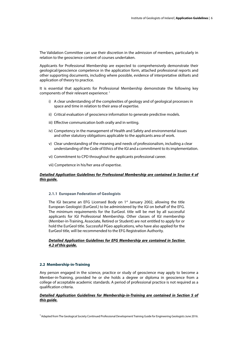The Validation Committee can use their discretion in the admission of members, particularly in relation to the geoscience content of courses undertaken.

Applicants for Professional Membership are expected to comprehensively demonstrate their geological/geoscience competence in the application form, attached professional reports and other supporting documents, including where possible, evidence of interpretative skillsets and application of theory to practice.

It is essential that applicants for Professional Membership demonstrate the following key components of their relevant experience: 1

- i) A clear understanding of the complexities of geology and of geological processes in space and time in relation to their area of expertise.
- ii) Critical evaluation of geoscience information to generate predictive models.
- iii) Effective communication both orally and in writing.
- iv) Competency in the management of Health and Safety and environmental issues and other statutory obligations applicable to the applicants area of work.
- v) Clear understanding of the meaning and needs of professionalism, including a clear understanding of the Code of Ethics of the IGI and a commitment to its implementation.
- vi) Commitment to CPD throughout the applicants professional career.
- vii) Competence in his/her area of expertise.

### *Detailed Application Guidelines for Professional Membership are contained in Section 4 of this guide.*

#### **2.1.1 European Federation of Geologists**

The IGI became an EFG Licensed Body on 1<sup>st</sup> January 2002, allowing the title European Geologist (EurGeol.) to be administered by the IGI on behalf of the EFG. The minimum requirements for the EurGeol. title will be met by all successful applicants for IGI Professional Membership. Other classes of IGI membership (Member-in-Training, Associate, Retired or Student) are not entitled to apply for or hold the EurGeol title. Successful PGeo applications, who have also applied for the EurGeol title, will be recommended to the EFG Registration Authority.

#### *Detailed Application Guidelines for EFG Membership are contained in Section 4.2 of this guide.*

#### **2.2 Membership-in-Training**

Any person engaged in the science, practice or study of geoscience may apply to become a Member-in-Training, provided he or she holds a degree or diploma in geoscience from a college of acceptable academic standards. A period of professional practice is not required as a qualification criteria.

#### *Detailed Application Guidelines for Membership-in-Training are contained in Section 5 of this guide.*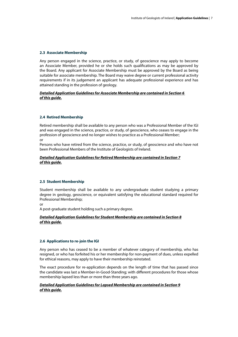#### **2.3 Associate Membership**

Any person engaged in the science, practice, or study, of geoscience may apply to become an Associate Member, provided he or she holds such qualifications as may be approved by the Board. Any applicant for Associate Membership must be approved by the Board as being suitable for associate membership. The Board may waive degree or current professional activity requirements if in its judgement an applicant has adequate professional experience and has attained standing in the profession of geology.

#### *Detailed Application Guidelines for Associate Membership are contained in Section 6 of this guide.*

#### **2.4 Retired Membership**

Retired membership shall be available to any person who was a Professional Member of the IGI and was engaged in the science, practice, or study, of geoscience, who ceases to engage in the profession of geoscience and no longer wishes to practice as a Professional Member; or

Persons who have retired from the science, practice, or study, of geoscience and who have not been Professional Members of the Institute of Geologists of Ireland.

#### *Detailed Application Guidelines for Retired Membership are contained in Section 7 of this guide.*

#### **2.5 Student Membership**

Student membership shall be available to any undergraduate student studying a primary degree in geology, geoscience, or equivalent satisfying the educational standard required for Professional Membership;

or

A post-graduate student holding such a primary degree.

#### *Detailed Application Guidelines for Student Membership are contained in Section 8 of this guide.*

#### **2.6 Applications to re-join the IGI**

Any person who has ceased to be a member of whatever category of membership, who has resigned, or who has forfeited his or her membership for non-payment of dues, unless expelled for ethical reasons, may apply to have their membership reinstated.

The exact procedure for re-application depends on the length of time that has passed since the candidate was last a Member-in-Good-Standing; with different procedures for those whose membership lapsed less than or more than three years ago.

#### *Detailed Application Guidelines for Lapsed Membership are contained in Section 9 of this guide.*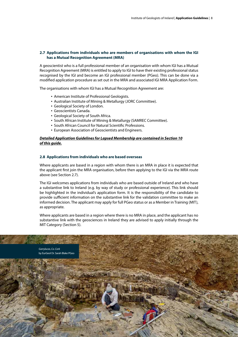#### **2.7 Applications from individuals who are members of organisations with whom the IGI has a Mutual Recognition Agreement (MRA)**

A geoscientist who is a full professional member of an organisation with whom IGI has a Mutual Recognition Agreement (MRA) is entitled to apply to IGI to have their existing professional status recognised by the IGI and become an IGI professional member (PGeo). This can be done via a modified application procedure as set out in the MRA and associated IGI MRA Application Form.

The organisations with whom IGI has a Mutual Recognition Agreement are:

- American Institute of Professional Geologists.
- Australian Institute of Mining & Metallurgy (JORC Committee).
- Geological Society of London.
- Geoscientists Canada.
- Geological Society of South Africa.
- South African Institute of Mining & Metallurgy (SAMREC Committee).
- South African Council for Natural Scientific Professions.
- European Association of Geoscientists and Engineers.

#### *Detailed Application Guidelines for Lapsed Membership are contained in Section 10 of this guide.*

#### **2.8 Applications from individuals who are based overseas**

Where applicants are based in a region with whom there is an MRA in place it is expected that the applicant first join the MRA organisation, before then applying to the IGI via the MRA route above (see Section 2.7).

The IGI welcomes applications from individuals who are based outside of Ireland and who have a substantive link to Ireland (e.g. by way of study or professional experience). This link should be highlighted in the individual's application form. It is the responsibility of the candidate to provide sufficient information on the substantive link for the validation committee to make an informed decision. The applicant may apply for full PGeo status or as a Member in Training (MIT), as appropriate.

Where applicants are based in a region where there is no MRA in place, and the applicant has no substantive link with the geosciences in Ireland they are advised to apply initially through the MIT Category (Section 5).

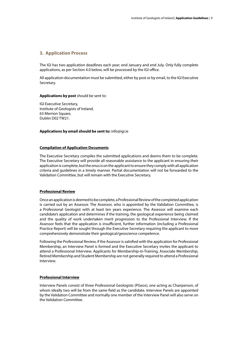## **3. Application Process**

The IGI has two application deadlines each year; end January and end July. Only fully complete applications, as per Section 4.0 below, will be processed by the IGI office.

All application documentation must be submitted, either by post or by email, to the IGI Executive Secretary.

#### **Applications by post** should be sent to:

IGI Executive Secretary, Institute of Geologists of Ireland, 63 Merrion Square, Dublin D02 TW21.

#### **Applications by email should be sent to:** info@igi.ie

#### **Compilation of Application Documents**

The Executive Secretary compiles the submitted applications and deems them to be complete. The Executive Secretary will provide all reasonable assistance to the applicant in ensuring their application is complete, but the onus is on the applicant to ensure they comply with all application criteria and guidelines in a timely manner. Partial documentation will not be forwarded to the Validation Committee, but will remain with the Executive Secretary.

#### **Professional Review**

Once an application is deemed to be complete, a Professional Review of the completed application is carried out by an Assessor. The Assessor, who is appointed by the Validation Committee, is a Professional Geologist with at least ten years experience. The Assessor will examine each candidate's application and determines if the training, the geological experience being claimed and the quality of work undertaken merit progression to the Professional Interview. If the Assessor feels that the application is insufficient, further information (including a Professional Practice Report) will be sought through the Executive Secretary requiring the applicant to more comprehensively demonstrate their geological/geoscience competence.

Following the Professional Review, if the Assessor is satisfied with the application for Professional Membership, an Interview Panel is formed and the Executive Secretary invites the applicant to attend a Professional Interview. Applicants for Membership-in-Training, Associate Membership, Retired Membership and Student Membership are not generally required to attend a Professional Interview.

#### **Professional Interview**

Interview Panels consist of three Professional Geologists (PGeos), one acting as Chairperson, of whom ideally two will be from the same field as the candidate. Interview Panels are appointed by the Validation Committee and normally one member of the Interview Panel will also serve on the Validation Committee.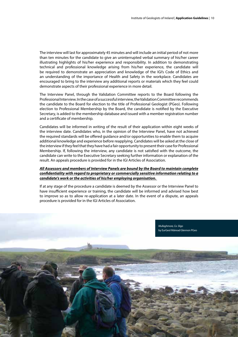The interview will last for approximately 45 minutes and will include an initial period of not more than ten minutes for the candidate to give an uninterrupted verbal summary of his/her career illustrating highlights of his/her experience and responsibility. In addition to demonstrating technical and professional knowledge arising from his/her experience, the candidate will be required to demonstrate an appreciation and knowledge of the IGI's Code of Ethics and an understanding of the importance of Health and Safety in the workplace. Candidates are encouraged to bring to the interview any additional reports or materials which they feel could demonstrate aspects of their professional experience in more detail.

The Interview Panel, through the Validation Committee reports to the Board following the Professional Interview. In the case of a successful interview, the Validation Committee recommends the candidate to the Board for election to the title of Professional Geologist (PGeo). Following election to Professional Membership by the Board, the candidate is notified by the Executive Secretary, is added to the membership database and issued with a member registration number and a certificate of membership.

Candidates will be informed in writing of the result of their application within eight weeks of the interview date. Candidates who, in the opinion of the Interview Panel, have not achieved the required standards will be offered guidance and/or opportunities to enable them to acquire additional knowledge and experience before reapplying. Candidates will be asked at the close of the interview if they feel that they have had a fair opportunity to present their case for Professional Membership. If, following the interview, any candidate is not satisfied with the outcome, the candidate can write to the Executive Secretary seeking further information or explanation of the result. An appeals procedure is provided for in the IGI Articles of Association.

#### *All Assessors and members of Interview Panels are bound by the Board to maintain complete confidentiality with regard to proprietary or commercially sensitive information relating to a candidate's work or the activities of his/her employing organisation.*

If at any stage of the procedure a candidate is deemed by the Assessor or the Interview Panel to have insufficient experience or training, the candidate will be informed and advised how best to improve so as to allow re-application at a later date. In the event of a dispute, an appeals procedure is provided for in the IGI Articles of Association.

> *Mullaghmore, Co. Sligo* by EurGeol Máiread Glennon PGeo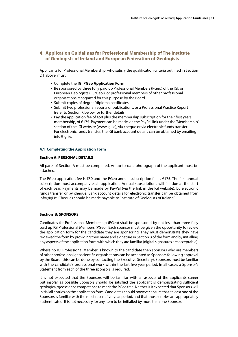# **4. Application Guidelines for Professional Membership of The Institute of Geologists of Ireland and European Federation of Geologists**

Applicants for Professional Membership, who satisfy the qualification criteria outlined in Section 2.1 above, must;

- Complete the **IGI PGeo Application Form**.
- Be sponsored by three fully paid up Professional Members (PGeo) of the IGI, or European Geologists (EurGeol), or professional members of other professional organisations recognized for this purpose by the Board.
- Submit copies of degree/diploma certificates.
- Submit two professional reports or publications, or a Professional Practice Report (refer to Section K below for further details).
- Pay the application fee of €50 plus the membership subscription for their first years membership, of €175. Payment can be made via the PayPal link under the 'Membership' section of the IGI website (www.igi.ie), via cheque or via electronic funds transfer. For electronic funds transfer, the IGI bank account details can be obtained by emailing info@igi.ie.

#### **4.1 Completing the Application Form**

#### **Section A: PERSONAL DETAILS**

All parts of Section A must be completed. An up-to-date photograph of the applicant must be attached.

The PGeo application fee is €50 and the PGeo annual subscription fee is €175. The first annual subscription must accompany each application. Annual subscriptions will fall due at the start of each year. Payments may be made by PayPal (via the link in the IGI website), by electronic funds transfer or by cheque. Bank account details for electronic transfer can be obtained from info@igi.ie. Cheques should be made payable to 'Institute of Geologists of Ireland'.

#### **Section B: SPONSORS**

Candidates for Professional Membership (PGeo) shall be sponsored by not less than three fully paid up IGI Professional Members (PGeo). Each sponsor must be given the opportunity to review the application form for the candidate they are sponsoring. They must demonstrate they have reviewed the form by providing their name and signature in Section B of the form and by initialling any aspects of the application form with which they are familiar (digital signatures are acceptable).

Where no IGI Professional Member is known to the candidate then sponsors who are members of other professional geoscientific organisations can be accepted as Sponsors following approval by the Board (this can be done by contacting the Executive Secretary). Sponsors must be familiar with the candidate's professional work within the last five year period. In all cases, a Sponsor's Statement from each of the three sponsors is required.

It is not expected that the Sponsors will be familiar with all aspects of the applicants career but insofar as possible Sponsors should be satisfied the applicant is demonstrating sufficient geological/geoscience competence to merit the PGeo title. Neither is it expected that Sponsors will initial all entries on the application form. Candidates should however ensure that at least one of the Sponsors is familiar with the most recent five-year period, and that those entries are appropriately authenticated. It is not necessary for any item to be initialled by more than one Sponsor.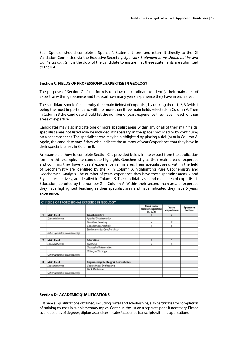Each Sponsor should complete a Sponsor's Statement form and return it directly to the IGI Validation Committee via the Executive Secretary. *Sponsor's Statement forms should not be sent via the candidate.* It is the duty of the candidate to ensure that these statements are submitted to the IGI.

#### **Section C: FIELDS OF PROFESSIONAL EXPERTISE IN GEOLOGY**

The purpose of Section C of the form is to allow the candidate to identify their main area of expertise within geoscience and to detail how many years experience they have in each area.

The candidate should first identify their main field(s) of expertise, by ranking them 1, 2, 3 (with 1 being the most important and with no more than three main fields selected) in Column A. Then in Column B the candidate should list the number of years experience they have in each of their areas of expertise.

Candidates may also indicate one or more specialist areas within any or all of their main fields; specialist areas not listed may be included, if necessary, in the spaces provided or by continuing on a separate sheet. The specialist areas may be highlighted by placing a tick (or x) in Column A. Again, the candidate may if they wish indicate the number of years' experience that they have in their specialist areas in Column B.

An example of how to complete Section C is provided below in the extract from the application form. In this example, the candidate highlights Geochemistry as their main area of expertise and confirms they have 7 years' experience in this area. Their specialist areas within the field of Geochemistry are identified by the 'x' in Column A highlighting Pure Geochemistry and Geochemical Analysis. The number of years' experience they have these specialist areas, 7 and 5 years respectively, are detailed in Column B. The candidates second main area of expertise is Education, denoted by the number 2 in Column A. Within their second main area of expertise they have highlighted Teaching as their specialist area and have indicated they have 5 years' experience.

|                | C: FIELDS OF PROFESSIONAL EXPERTISE IN GEOLOGY |                                              |                                              |                     |                       |
|----------------|------------------------------------------------|----------------------------------------------|----------------------------------------------|---------------------|-----------------------|
|                |                                                |                                              | Rank main<br>field of expertise<br>(1, 2, 3) | Years<br>experience | Sponsor's<br>initials |
|                | <b>Main Field</b>                              | Geochemistry                                 |                                              | 7                   |                       |
|                | Specialist areas                               | Applied Geochemistry                         |                                              |                     |                       |
|                |                                                | Pure Geochemistry                            | х                                            | 7                   |                       |
|                |                                                | Geochemical Analysis                         | x                                            | 5                   |                       |
|                |                                                | Environmental Geochemistry                   |                                              |                     |                       |
|                | Other specialist areas (specify)               |                                              |                                              |                     |                       |
| $\overline{2}$ | <b>Main Field</b>                              | <b>Education</b>                             | $\overline{2}$                               | 5                   |                       |
|                | Specialist areas                               | Teaching                                     | x                                            | 5                   |                       |
|                |                                                | Geological Information                       |                                              |                     |                       |
|                |                                                | History of Geology                           |                                              |                     |                       |
|                | Other specialist areas (specify)               |                                              |                                              |                     |                       |
|                |                                                |                                              |                                              |                     |                       |
| 3              | <b>Main Field</b>                              | <b>Engineering Geology &amp; Geotechnics</b> |                                              |                     |                       |
|                | Specialist areas                               | Geotechnical Engineering                     |                                              |                     |                       |
|                |                                                | Rock Mechanics                               |                                              |                     |                       |
|                | Other specialist areas (specify)               |                                              |                                              |                     |                       |
|                |                                                |                                              |                                              |                     |                       |

#### **Section D: ACADEMIC QUALIFICATIONS**

List here all qualifications obtained, including prizes and scholarships, also certificates for completion of training courses in supplementary topics. Continue the list on a separate page if necessary. Please submit copies of degrees, diplomas and certificates/academic transcripts with the applications.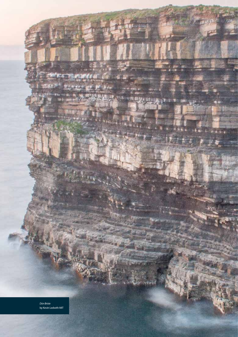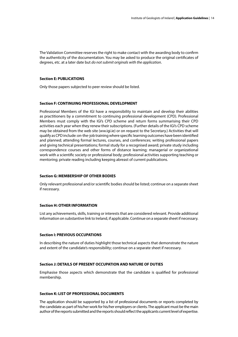The Validation Committee reserves the right to make contact with the awarding body to confirm the authenticity of the documentation. You may be asked to produce the original certificates of degrees, etc. at a later date but *do not submit originals with the application*.

#### **Section E: PUBLICATIONS**

Only those papers subjected to peer review should be listed.

#### **Section F: CONTINUING PROFESSIONAL DEVELOPMENT**

Professional Members of the IGI have a responsibility to maintain and develop their abilities as practitioners by a commitment to continuing professional development (CPD). Professional Members must comply with the IGI's CPD scheme and return forms summarising their CPD activities each year when they renew their subscriptions. (Further details of the IGI's CPD scheme may be obtained from the web site (ww.igi.ie) or on request to the Secretary.) Activities that will qualify as CPD include: on-the-job training where specific learning outcomes have been identified and planned; attending formal lectures, courses, and conferences; writing professional papers and giving technical presentations; formal study for a recognised award; private study including correspondence courses and other forms of distance learning; managerial or organizational work with a scientific society or professional body; professional activities supporting teaching or mentoring; private reading including keeping abreast of current publications.

#### **Section G: MEMBERSHIP OF OTHER BODIES**

Only relevant professional and/or scientific bodies should be listed; continue on a separate sheet if necessary.

#### **Section H: OTHER INFORMATION**

List any achievements, skills, training or interests that are considered relevant. Provide additional information on substantive link to Ireland, if applicable. Continue on a separate sheet if necessary.

#### **Section I: PREVIOUS OCCUPATIONS**

In describing the nature of duties highlight those technical aspects that demonstrate the nature and extent of the candidate's responsibility; continue on a separate sheet if necessary.

#### **Section J: DETAILS OF PRESENT OCCUPATION AND NATURE OF DUTIES**

Emphasise those aspects which demonstrate that the candidate is qualified for professional membership.

#### **Section K: LIST OF PROFESSIONAL DOCUMENTS**

The application should be supported by a list of professional documents or reports completed by the candidate as part of his/her work for his/her employers or clients. The applicant must be the main author of the reports submitted and the reports should reflect the applicants current level of expertise.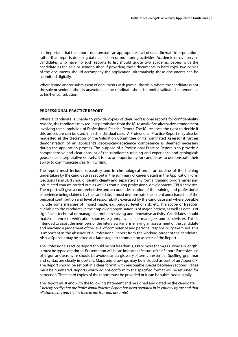It is important that the reports demonstrate an appropriate level of scientific/data interpretation, rather than reports detailing data collection or monitoring activities. Academic or civil service candidates who have no such reports to list should quote two academic papers with the candidate as the sole or senior author. If providing these documents in hard copy, two copies of the documents should accompany the application. Alternatively, these documents can be submitted digitally.

Where listing and/or submission of documents with joint authorship, where the candidate is not the sole or senior author, is unavoidable, the candidate should submit a validated statement as to his/her contribution.

#### **PROFESSIONAL PRACTICE REPORT**

Where a candidate is unable to provide copies of their professional reports for confidentiality reasons, the candidate may request permission from the IGI to avail of an alternative arrangement involving the submission of Professional Practice Report. The IGI reserves the right to decide if this procedure can be used in each individual case. A Professional Practice Report may also be requested at the discretion of the Validation Committee or its nominated Assessor if further demonstration of an applicant's geological/geoscience competence is deemed necessary during the application process. The purpose of a Professional Practice Report is to provide a comprehensive and clear account of the candidate's training and experience and geological/ geoscience interpretative skillsets. It is also an opportunity for candidates to demonstrate their ability to communicate clearly in writing.

The report must include, separately and in chronological order, an outline of the training undertaken by the candidate as set out in the summary of career details in the Application Form (Sections I and J). It should identify clearly and separately any formal training programmes and job-related courses carried out, as well as continuing professional development (CPD) activities. The report will give a comprehensive and accurate description of the training and professional experience being claimed by the candidate. It must demonstrate the extent and character of the personal contribution and level of responsibility exercised by the candidate and where possible include some measure of impact made, e.g. budget, level of risk, etc. The scope of freedom available to the candidate in the employing organisation is of major interest, as well as details of significant technical or managerial problem solving and innovative activity. Candidates should make reference to verification sources, e.g. employers, line managers and supervisors. This is intended to assist the members of the Interview Panel in making an assessment of the candidate and reaching a judgement of the level of competence and personal responsibility exercised. This is important in the absence of a Professional Report from the working career of the candidate. Also, a Sponsor may be asked at a later stage to comment on aspects of the Report.

The Professional Practice Report should be not less than 3,000 or more than 4,000 words in length. It must be typed or printed. Presentation will be an important feature of the Report. Excessive use of jargon and acronyms should be avoided and a glossary of terms is essential. Spelling, grammar and syntax are clearly important. Maps and drawings may be included as part of an Appendix. The Report should be set out in a clear format with reasonable spaces between sections. Pages must be numbered. Reports which do not conform to the specified format will be returned for correction. Three hard copies of the report must be provided or it can be submitted digitally.

The Report must end with the following statement and be signed and dated by the candidate: *'I hereby certify that the Professional Practice Report has been prepared in its entirety by me and that all statements and claims therein are true and accurate'.*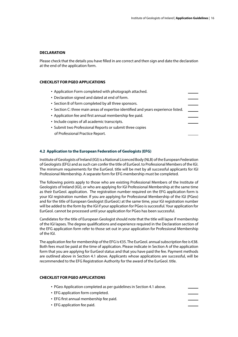#### **DECLARATION**

Please check that the details you have filled in are correct and then sign and date the declaration at the end of the application form.

#### **CHECKLIST FOR PGEO APPLICATIONS**

| • Application Form completed with photograph attached.                             |  |
|------------------------------------------------------------------------------------|--|
| • Declaration signed and dated at end of form.                                     |  |
| • Section B of form completed by all three sponsors.                               |  |
| • Section C: three main areas of expertise identified and years experience listed. |  |
| • Application fee and first annual membership fee paid.                            |  |
| • Include copies of all academic transcripts.                                      |  |
| • Submit two Professional Reports or submit three copies                           |  |
| of Professional Practice Report.                                                   |  |
|                                                                                    |  |

#### **4.2 Application to the European Federation of Geologists (EFG)**

Institute of Geologists of Ireland (IGI) is a National Licenced Body (NLB) of the European Federation of Geologists (EFG) and as such can confer the title of EurGeol. to Professional Members of the IGI. The minimum requirements for the EurGeol. title will be met by all successful applicants for IGI Professional Membership. A separate form for EFG membership must be completed.

The following points apply to those who are existing Professional Members of the Institute of Geologists of Ireland (IGI), or who are applying for IGI Professional Membership at the same time as their EurGeol. application. The registration number required on the EFG application form is your IGI registration number. If you are applying for Professional Membership of the IGI (PGeo) and for the title of European Geologist (EurGeol.) at the same time, your IGI registration number will be added to the form by the IGI if your application for PGeo is successful. Your application for EurGeol. cannot be processed until your application for PGeo has been successful.

Candidates for the title of European Geologist should note that the title will lapse if membership of the IGI lapses. The degree qualifications and experience required in the Declaration section of the EFG application form refer to those set out in your application for Professional Membership of the IGI.

The application fee for membership of the EFG is €35. The EurGeol. annual subscription fee is €38. Both fees must be paid at the time of application. Please indicate in Section A of the application form that you are applying for EurGeol status and that you have paid the fee. Payment methods are outlined above in Section 4.1 above. Applicants whose applications are successful, will be recommended to the EFG Registration Authority for the award of the EurGeol. title.

#### **CHECKLIST FOR PGEO APPLICATIONS**

- PGeo Application completed as per guidelines in Section 4.1 above.
- EFG application form completed.
- EFG first annual membership fee paid.
- EFG application fee paid.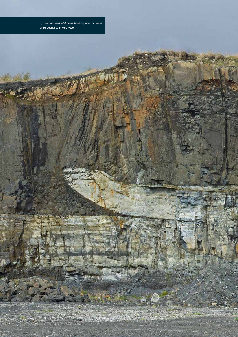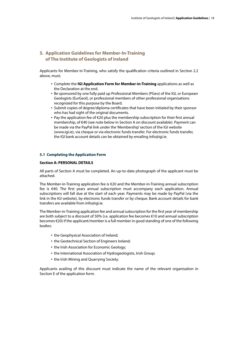# **5. Application Guidelines for Member-In-Training of The Institute of Geologists of Ireland**

Applicants for Member-in-Training, who satisfy the qualification criteria outlined in Section 2.2 above, must;

- Complete the **IGI Application Form for Member-in-Training** applications as well as the Declaration at the end.
- Be sponsored by one fully paid up Professional Members (PGeo) of the IGI, or European Geologists (EurGeol), or professional members of other professional organisations recognized for this purpose by the Board.
- Submit copies of degree/diploma certificates that have been initialed by their sponsor who has had sight of the original documents.
- Pay the application fee of €20 plus the membership subscription for their first annual membership, of €40 (see note below in Section A on discount available). Payment can be made via the PayPal link under the 'Membership' section of the IGI website (www.igi.ie), via cheque or via electronic funds transfer. For electronic funds transfer, the IGI bank account details can be obtained by emailing info@igi.ie.

#### **5.1 Completing the Application Form**

#### **Section A: PERSONAL DETAILS**

All parts of Section A must be completed. An up-to-date photograph of the applicant must be attached.

The Member-in-Training application fee is €20 and the Member-in-Training annual subscription fee is €40. The first years annual subscription must accompany each application. Annual subscriptions will fall due at the start of each year. Payments may be made by PayPal (via the link in the IGI website), by electronic funds transfer or by cheque. Bank account details for bank transfers are available from info@igi.ie.

The Member-in-Training application fee and annual subscription for the first year of membership are both subject to a discount of 50% (i.e. application fee becomes €10 and annual subscription becomes €20) if the applicant/member is a full member in good standing of one of the following bodies:

- the Geophysical Association of Ireland;
- the Geotechnical Section of Engineers Ireland;
- the Irish Association for Economic Geology;
- the International Association of Hydrogeologists, Irish Group;
- the Irish Mining and Quarrying Society.

Applicants availing of this discount must indicate the name of the relevant organisation in Section E of the application form.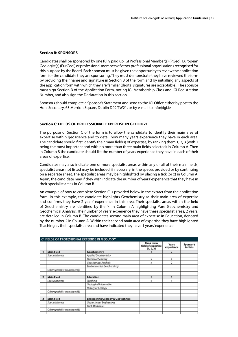#### **Section B: SPONSORS**

Candidates shall be sponsored by one fully paid up IGI Professional Member(s) (PGeo), European Geologist(s) (EurGeol) or professional members of other professional organisations recognised for this purpose by the Board. Each sponsor must be given the opportunity to review the application form for the candidate they are sponsoring. They must demonstrate they have reviewed the form by providing their name and signature in Section B of the form and by initialling any aspects of the application form with which they are familiar (digital signatures are acceptable). The sponsor must sign Section B of the Application Form, noting IGI Membership Class and IGI Registration Number, and also sign the Declaration in this section.

Sponsors should complete a Sponsor's Statement and send to the IGI Office either by post to the Hon. Secretary, 63 Merrion Square, Dublin D02 TW21, or by e-mail to info@igi.ie

#### **Section C: FIELDS OF PROFESSIONAL EXPERTISE IN GEOLOGY**

The purpose of Section C of the form is to allow the candidate to identify their main area of expertise within geoscience and to detail how many years experience they have in each area. The candidate should first identify their main field(s) of expertise, by ranking them 1, 2, 3 (with 1 being the most important and with no more than three main fields selected) in Column A. Then in Column B the candidate should list the number of years experience they have in each of their areas of expertise.

Candidates may also indicate one or more specialist areas within any or all of their main fields; specialist areas not listed may be included, if necessary, in the spaces provided or by continuing on a separate sheet. The specialist areas may be highlighted by placing a tick (or x) in Column A. Again, the candidate may if they wish indicate the number of years' experience that they have in their specialist areas in Column B.

An example of how to complete Section C is provided below in the extract from the application form. In this example, the candidate highlights Geochemistry as their main area of expertise and confirms they have 2 years' experience in this area. Their specialist areas within the field of Geochemistry are identified by the 'x' in Column A highlighting Pure Geochemistry and Geochemical Analysis. The number of years' experience they have these specialist areas, 2 years, are detailed in Column B. The candidates second main area of expertise in Education, denoted by the number 2 in Column A. Within their second main area of expertise they have highlighted Teaching as their specialist area and have indicated they have 1 years' experience.

|   | C: FIELDS OF PROFESSIONAL EXPERTISE IN GEOLOGY |                                              |                                              |                     |                       |
|---|------------------------------------------------|----------------------------------------------|----------------------------------------------|---------------------|-----------------------|
|   |                                                |                                              | Rank main<br>field of expertise<br>(1, 2, 3) | Years<br>experience | Sponsor's<br>initials |
|   | <b>Main Field</b>                              | Geochemistry                                 |                                              | $\overline{2}$      |                       |
|   | Specialist areas                               | Applied Geochemistry                         |                                              |                     |                       |
|   |                                                | Pure Geochemistry                            | x                                            | 2                   |                       |
|   |                                                | Geochemical Analysis                         | x                                            | 2                   |                       |
|   |                                                | Environmental Geochemistry                   |                                              |                     |                       |
|   | Other specialist areas (specify)               |                                              |                                              |                     |                       |
|   |                                                |                                              |                                              |                     |                       |
|   | <b>Main Field</b>                              | <b>Education</b>                             | $\overline{2}$                               |                     |                       |
|   | Specialist areas                               | Teaching                                     | x                                            |                     |                       |
|   |                                                | Geological Information                       |                                              |                     |                       |
|   |                                                | History of Geology                           |                                              |                     |                       |
|   | Other specialist areas (specify)               |                                              |                                              |                     |                       |
|   |                                                |                                              |                                              |                     |                       |
| з | <b>Main Field</b>                              | <b>Engineering Geology &amp; Geotechnics</b> |                                              |                     |                       |
|   | Specialist areas                               | Geotechnical Engineering                     |                                              |                     |                       |
|   |                                                | <b>Rock Mechanics</b>                        |                                              |                     |                       |
|   | Other specialist areas (specify)               |                                              |                                              |                     |                       |
|   |                                                |                                              |                                              |                     |                       |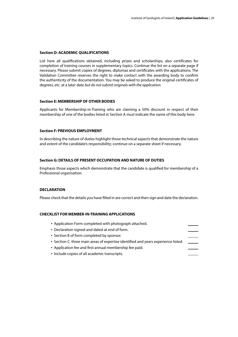#### **Section D: ACADEMIC QUALIFICATIONS**

List here all qualifications obtained, including prizes and scholarships, also certificates for completion of training courses in supplementary topics. Continue the list on a separate page if necessary. Please submit copies of degrees, diplomas and certificates with the applications. The Validation Committee reserves the right to make contact with the awarding body to confirm the authenticity of the documentation. You may be asked to produce the original certificates of degrees, etc. at a later date *but do not submit originals with the application*.

#### **Section E: MEMBERSHIP OF OTHER BODIES**

Applicants for Membership-in-Training who are claiming a 50% discount in respect of their membership of one of the bodies listed in Section A *must* indicate the name of this body here.

#### **Section F: PREVIOUS EMPLOYMENT**

In describing the nature of duties highlight those technical aspects that demonstrate the nature and extent of the candidate's responsibility; continue on a separate sheet if necessary.

#### **Section G: DETAILS OF PRESENT OCCUPATION AND NATURE OF DUTIES**

Emphasis those aspects which demonstrate that the candidate is qualified for membership of a Professional organisation.

#### **DECLARATION**

Please check that the details you have filled in are correct and then sign and date the declaration.

#### **CHECKLIST FOR MEMBER-IN-TRAINING APPLICATIONS**

| • Application Form completed with photograph attached.                             |  |
|------------------------------------------------------------------------------------|--|
| • Declaration signed and dated at end of form.                                     |  |
| • Section B of form completed by sponsor.                                          |  |
| • Section C: three main areas of expertise identified and years experience listed. |  |
| • Application fee and first annual membership fee paid.                            |  |
| • Include copies of all academic transcripts.                                      |  |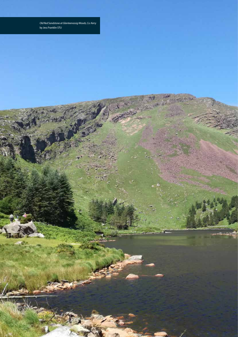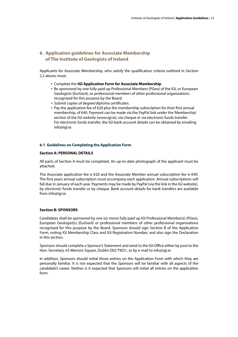# **6. Application guidelines for Associate Membership of The Institute of Geologists of Ireland**

Applicants for Associate Membership, who satisfy the qualification criteria outlined in Section 2.2 above, must;

- Complete the **IGI Application Form for Associate Membership**.
- Be sponsored by one fully paid up Professional Members (PGeo) of the IGI, or European Geologists (EurGeol), or professional members of other professional organisations recognized for this purpose by the Board.
- Submit copies of degree/diploma certificates.
- Pay the application fee of €20 plus the membership subscription for their first annual membership, of €40. Payment can be made via the PayPal link under the 'Membership' section of the IGI website (www.igi.ie), via cheque or via electronic funds transfer. For electronic funds transfer, the IGI bank account details can be obtained by emailing info@igi.ie.

#### **6.1 Guidelines on Completing the Application Form**

#### **Section A: PERSONAL DETAILS**

All parts of Section A must be completed. An up-to-date photograph of the applicant must be attached.

The Associate application fee is €20 and the Associate Member annual subscription fee is €40. The first years annual subscription must accompany each application. Annual subscriptions will fall due in January of each year. Payments may be made by PayPal (via the link in the IGI website), by electronic funds transfer or by cheque. Bank account details for bank transfers are available from info@igi.ie.

#### **Section B: SPONSORS**

Candidates shall be sponsored by one (or more) fully paid up IGI Professional Member(s) (PGeo), European Geologist(s) (EurGeol) or professional members of other professional organisations recognised for this purpose by the Board. Sponsors should sign Section B of the Application Form, noting IGI Membership Class and IGI Registration Number, and also sign the Declaration in this section.

Sponsors should complete a Sponsor's Statement and send to the IGI Office either by post to the Hon. Secretary, 63 Merrion Square, Dublin D02 TW21, or by e-mail to info@igi.ie

In addition, Sponsors should initial those entries on the Application Form with which they are personally familiar. It is not expected that the Sponsors will be familiar with all aspects of the candidate's career. Neither is it expected that Sponsors will initial all entries on the application form.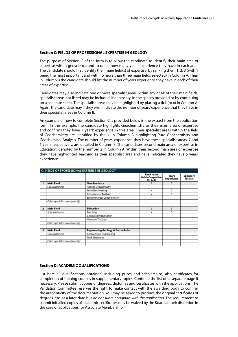#### **Section C: FIELDS OF PROFESSIONAL EXPERTISE IN GEOLOGY**

The purpose of Section C of the form is to allow the candidate to identify their main area of expertise within geoscience and to detail how many years experience they have in each area. The candidate should first identify their main field(s) of expertise, by ranking them 1, 2, 3 (with 1 being the most important and with no more than three main fields selected) in Column A. Then in Column B the candidate should list the number of years experience they have in each of their areas of expertise.

Candidates may also indicate one or more specialist areas within any or all of their main fields; specialist areas not listed may be included, if necessary, in the spaces provided or by continuing on a separate sheet. The specialist areas may be highlighted by placing a tick (or x) in Column A. Again, the candidate may if they wish indicate the number of years' experience that they have in their specialist areas in Column B.

An example of how to complete Section C is provided below in the extract from the application form. In this example, the candidate highlights Geochemistry as their main area of expertise and confirms they have 7 years' experience in this area. Their specialist areas within the field of Geochemistry are identified by the 'x' in Column A highlighting Pure Geochemistry and Geochemical Analysis. The number of years' experience they have these specialist areas, 7 and 5 years respectively, are detailed in Column B. The candidates second main area of expertise in Education, denoted by the number 2 in Column A. Within their second main area of expertise they have highlighted Teaching as their specialist area and have indicated they have 5 years' experience.

|                | C: FIELDS OF PROFESSIONAL EXPERTISE IN GEOLOGY |                                              |                                              |                     |                       |
|----------------|------------------------------------------------|----------------------------------------------|----------------------------------------------|---------------------|-----------------------|
|                |                                                |                                              | Rank main<br>field of expertise<br>(1, 2, 3) | Years<br>experience | Sponsor's<br>initials |
|                | <b>Main Field</b>                              | Geochemistry                                 |                                              | $\overline{7}$      |                       |
|                | Specialist areas                               | Applied Geochemistry                         |                                              |                     |                       |
|                |                                                | Pure Geochemistry                            | х                                            | 7                   |                       |
|                |                                                | Geochemical Analysis                         | x                                            | 5                   |                       |
|                |                                                | Environmental Geochemistry                   |                                              |                     |                       |
|                | Other specialist areas (specify)               |                                              |                                              |                     |                       |
| $\overline{2}$ | <b>Main Field</b>                              | <b>Education</b>                             | $\overline{2}$                               | 5                   |                       |
|                | Specialist areas                               | Teaching                                     | x                                            | 5                   |                       |
|                |                                                | Geological Information                       |                                              |                     |                       |
|                |                                                | History of Geology                           |                                              |                     |                       |
|                | Other specialist areas (specify)               |                                              |                                              |                     |                       |
| 3              | <b>Main Field</b>                              | <b>Engineering Geology &amp; Geotechnics</b> |                                              |                     |                       |
|                | Specialist areas                               | Geotechnical Engineering                     |                                              |                     |                       |
|                |                                                | Rock Mechanics                               |                                              |                     |                       |
|                | Other specialist areas (specify)               |                                              |                                              |                     |                       |
|                |                                                |                                              |                                              |                     |                       |

#### **Section D: ACADEMIC QUALIFICATIONS**

List here all qualifications obtained, including prizes and scholarships, also certificates for completion of training courses in supplementary topics. Continue the list on a separate page if necessary. Please submit copies of degrees, diplomas and certificates with the applications. The Validation Committee reserves the right to make contact with the awarding body to confirm the authenticity of the documentation. You may be asked to produce the original certificates of degrees, etc. at a later date but *do not submit originals with the application*. The requirement to submit initialled copies of academic certificates may be waived by the Board at their discretion in the case of applications for Associate Membership.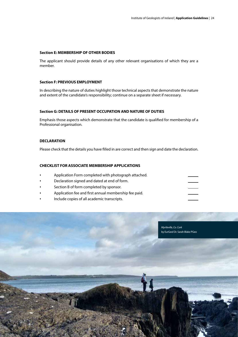#### **Section E: MEMBERSHIP OF OTHER BODIES**

The applicant should provide details of any other relevant organisations of which they are a member.

#### **Section F: PREVIOUS EMPLOYMENT**

In describing the nature of duties highlight those technical aspects that demonstrate the nature and extent of the candidate's responsibility; continue on a separate sheet if necessary.

#### **Section G: DETAILS OF PRESENT OCCUPATION AND NATURE OF DUTIES**

Emphasis those aspects which demonstrate that the candidate is qualified for membership of a Professional organisation.

#### **DECLARATION**

Please check that the details you have filled in are correct and then sign and date the declaration.

#### **CHECKLIST FOR ASSOCIATE MEMBERSHIP APPLICATIONS**

- Application Form completed with photograph attached.
- Declaration signed and dated at end of form.
- Section B of form completed by sponsor.
- Application fee and first annual membership fee paid.
- Include copies of all academic transcripts.

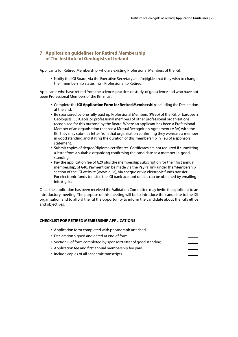# **7. Application guidelines for Retired Membership of The Institute of Geologists of Ireland**

Applicants for Retired Membership, who are existing Professional Members of the IGI;

• Notify the IGI Board, via the Executive Secretary at info@igi.ie, that they wish to change their membership status from Professional to Retired.

Applicants who have retired from the science, practice, or study, of geoscience and who have not been Professional Members of the IGI, must;

- Complete the **IGI Application Form for Retired Membership** including the Declaration at the end.
- Be sponsored by one fully paid up Professional Members (PGeo) of the IGI, or European Geologists (EurGeol), or professional members of other professional organisations recognized for this purpose by the Board. Where an applicant has been a Professional Member of an organisation that has a Mutual Recognition Agreement (MRA) with the IGI, they may submit a letter from that organisation confirming they were/are a member in good standing and stating the duration of this membership in lieu of a sponsors statement.
- Submit copies of degree/diploma certificates. Certificates are not required if submitting a letter from a suitable organizing confirming the candidate as a member-in-good standing.
- Pay the application fee of €20 plus the membership subscription for their first annual membership, of €40. Payment can be made via the PayPal link under the 'Membership' section of the IGI website (www.igi.ie), via cheque or via electronic funds transfer. For electronic funds transfer, the IGI bank account details can be obtained by emailing info@igi.ie.

Once the application has been received the Validation Committee may invite the applicant to an introductory meeting. The purpose of this meeting will be to introduce the candidate to the IGI organisation and to afford the IGI the opportunity to inform the candidate about the IGI's ethos and objectives.

#### **CHECKLIST FOR RETIRED MEMBERSHIP APPLICATIONS**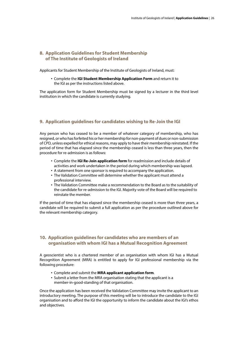# **8. Application Guidelines for Student Membership of The Institute of Geologists of Ireland**

Applicants for Student Membership of the Institute of Geologists of Ireland, must:

• Complete the **IGI Student Membership Application Form** and return it to the IGI as per the instructions listed above.

The application form for Student Membership must be signed by a lecturer in the third level institution in which the candidate is currently studying.

### **9. Application guidelines for candidates wishing to Re-Join the IGI**

Any person who has ceased to be a member of whatever category of membership, who has resigned, or who has forfeited his or her membership for non-payment of dues or non-submission of CPD, unless expelled for ethical reasons, may apply to have their membership reinstated. If the period of time that has elapsed since the membership ceased is less than three years, then the procedure for re-admission is as follows:

- Complete the **IGI Re-Join application form** for readmission and include details of activities and work undertaken in the period during which membership was lapsed.
- A statement from one sponsor is required to accompany the application.
- The Validation Committee will determine whether the applicant must attend a professional interview.
- The Validation Committee make a recommendation to the Board as to the suitability of the candidate for re-admission to the IGI. Majority vote of the Board will be required to reinstate the member.

If the period of time that has elapsed since the membership ceased is more than three years, a candidate will be required to submit a full application as per the procedure outlined above for the relevant membership category.

# **10. Application guidelines for candidates who are members of an organisation with whom IGI has a Mutual Recognition Agreement**

A geoscientist who is a chartered member of an organisation with whom IGI has a Mutual Recognition Agreement (MRA) is entitled to apply for IGI professional membership via the following procedure:

- Complete and submit the **MRA applicant application form**.
- Submit a letter from the MRA organisation stating that the applicant is a member-in-good-standing of that organisation.

Once the application has been received the Validation Committee may invite the applicant to an introductory meeting. The purpose of this meeting will be to introduce the candidate to the IGI organisation and to afford the IGI the opportunity to inform the candidate about the IGI's ethos and objectives.